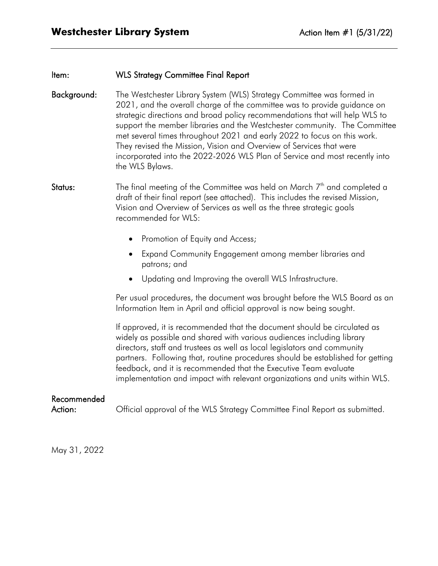# Item: WLS Strategy Committee Final Report

- Background: The Westchester Library System (WLS) Strategy Committee was formed in 2021, and the overall charge of the committee was to provide guidance on strategic directions and broad policy recommendations that will help WLS to support the member libraries and the Westchester community. The Committee met several times throughout 2021 and early 2022 to focus on this work. They revised the Mission, Vision and Overview of Services that were incorporated into the 2022-2026 WLS Plan of Service and most recently into the WLS Bylaws.
- **Status:** The final meeting of the Committee was held on March  $7<sup>th</sup>$  and completed a draft of their final report (see attached). This includes the revised Mission, Vision and Overview of Services as well as the three strategic goals recommended for WLS:
	- Promotion of Equity and Access;
	- Expand Community Engagement among member libraries and patrons; and
	- Updating and Improving the overall WLS Infrastructure.

Per usual procedures, the document was brought before the WLS Board as an Information Item in April and official approval is now being sought.

If approved, it is recommended that the document should be circulated as widely as possible and shared with various audiences including library directors, staff and trustees as well as local legislators and community partners. Following that, routine procedures should be established for getting feedback, and it is recommended that the Executive Team evaluate implementation and impact with relevant organizations and units within WLS.

# Recommended

Action: **Official approval of the WLS Strategy Committee Final Report as submitted.** 

May 31, 2022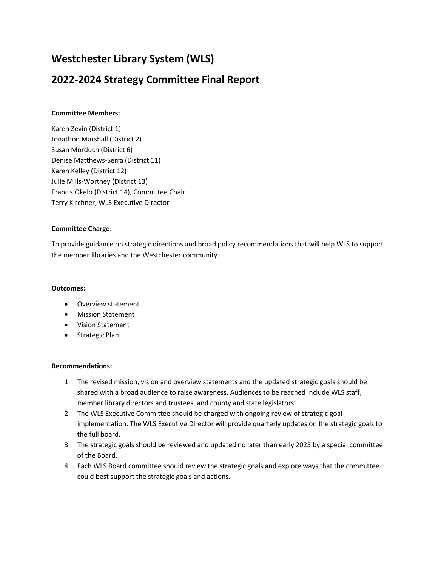# **Westchester Library System (WLS)**

# **2022-2024 Strategy Committee Final Report**

# **Committee Members:**

Karen Zevin (District 1) Jonathon Marshall (District 2) Susan Morduch (District 6) Denise Matthews-Serra (District 11) Karen Kelley (District 12) Julie Mills-Worthey (District 13) Francis Okelo (District 14), Committee Chair Terry Kirchner, WLS Executive Director

# **Committee Charge:**

To provide guidance on strategic directions and broad policy recommendations that will help WLS to support the member libraries and the Westchester community.

## **Outcomes:**

- Overview statement
- **•** Mission Statement
- Vision Statement
- Strategic Plan

## **Recommendations:**

- 1. The revised mission, vision and overview statements and the updated strategic goals should be shared with a broad audience to raise awareness. Audiences to be reached include WLS staff, member library directors and trustees, and county and state legislators.
- 2. The WLS Executive Committee should be charged with ongoing review of strategic goal implementation. The WLS Executive Director will provide quarterly updates on the strategic goals to the full board.
- 3. The strategic goals should be reviewed and updated no later than early 2025 by a special committee of the Board.
- 4. Each WLS Board committee should review the strategic goals and explore ways that the committee could best support the strategic goals and actions.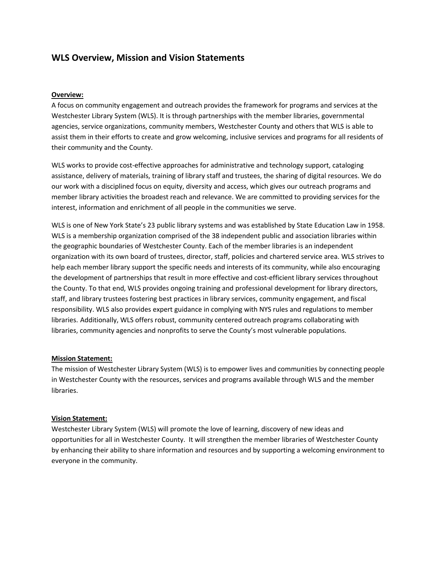# **WLS Overview, Mission and Vision Statements**

#### **Overview:**

A focus on community engagement and outreach provides the framework for programs and services at the Westchester Library System (WLS). It is through partnerships with the member libraries, governmental agencies, service organizations, community members, Westchester County and others that WLS is able to assist them in their efforts to create and grow welcoming, inclusive services and programs for all residents of their community and the County.

WLS works to provide cost-effective approaches for administrative and technology support, cataloging assistance, delivery of materials, training of library staff and trustees, the sharing of digital resources. We do our work with a disciplined focus on equity, diversity and access, which gives our outreach programs and member library activities the broadest reach and relevance. We are committed to providing services for the interest, information and enrichment of all people in the communities we serve.

WLS is one of New York State's 23 public library systems and was established by State Education Law in 1958. WLS is a membership organization comprised of the 38 independent public and association libraries within the geographic boundaries of Westchester County. Each of the member libraries is an independent organization with its own board of trustees, director, staff, policies and chartered service area. WLS strives to help each member library support the specific needs and interests of its community, while also encouraging the development of partnerships that result in more effective and cost-efficient library services throughout the County. To that end, WLS provides ongoing training and professional development for library directors, staff, and library trustees fostering best practices in library services, community engagement, and fiscal responsibility. WLS also provides expert guidance in complying with NYS rules and regulations to member libraries. Additionally, WLS offers robust, community centered outreach programs collaborating with libraries, community agencies and nonprofits to serve the County's most vulnerable populations.

#### **Mission Statement:**

The mission of Westchester Library System (WLS) is to empower lives and communities by connecting people in Westchester County with the resources, services and programs available through WLS and the member libraries.

#### **Vision Statement:**

Westchester Library System (WLS) will promote the love of learning, discovery of new ideas and opportunities for all in Westchester County. It will strengthen the member libraries of Westchester County by enhancing their ability to share information and resources and by supporting a welcoming environment to everyone in the community.